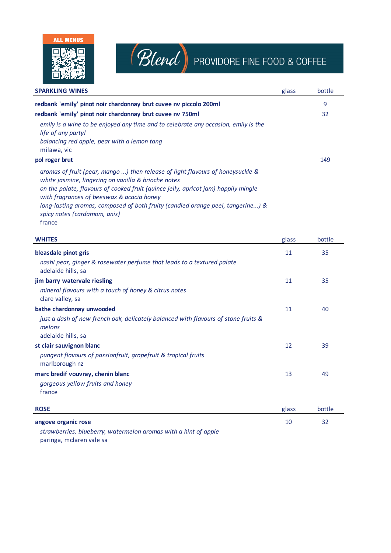



## Blend PROVIDORE FINE FOOD & COFFEE

| <b>SPARKLING WINES</b>                                                                                                                                                                                                                                                                                                                                                                                | glass | bottle |
|-------------------------------------------------------------------------------------------------------------------------------------------------------------------------------------------------------------------------------------------------------------------------------------------------------------------------------------------------------------------------------------------------------|-------|--------|
| redbank 'emily' pinot noir chardonnay brut cuvee nv piccolo 200ml                                                                                                                                                                                                                                                                                                                                     |       | 9      |
| redbank 'emily' pinot noir chardonnay brut cuvee nv 750ml                                                                                                                                                                                                                                                                                                                                             |       | 32     |
| emily is a wine to be enjoyed any time and to celebrate any occasion, emily is the<br>life of any party!<br>balancing red apple, pear with a lemon tang<br>milawa, vic                                                                                                                                                                                                                                |       |        |
| pol roger brut                                                                                                                                                                                                                                                                                                                                                                                        |       | 149    |
| aromas of fruit (pear, mango ) then release of light flavours of honeysuckle &<br>white jasmine, lingering on vanilla & brioche notes<br>on the palate, flavours of cooked fruit (quince jelly, apricot jam) happily mingle<br>with fragrances of beeswax & acacia honey<br>long-lasting aromas, composed of both fruity (candied orange peel, tangerine) &<br>spicy notes (cardamom, anis)<br>france |       |        |

| <b>WHITES</b>                                                                                                      | glass | bottle |
|--------------------------------------------------------------------------------------------------------------------|-------|--------|
| bleasdale pinot gris                                                                                               | 11    | 35     |
| nashi pear, ginger & rosewater perfume that leads to a textured palate<br>adelaide hills, sa                       |       |        |
| jim barry watervale riesling                                                                                       | 11    | 35     |
| mineral flavours with a touch of honey & citrus notes<br>clare valley, sa                                          |       |        |
| bathe chardonnay unwooded                                                                                          | 11    | 40     |
| just a dash of new french oak, delicately balanced with flavours of stone fruits &<br>melons<br>adelaide hills, sa |       |        |
| st clair sauvignon blanc                                                                                           | 12    | 39     |
| pungent flavours of passionfruit, grapefruit & tropical fruits<br>marlborough nz                                   |       |        |
| marc bredif vouvray, chenin blanc                                                                                  | 13    | 49     |
| gorgeous yellow fruits and honey                                                                                   |       |        |
| france                                                                                                             |       |        |
| <b>ROSE</b>                                                                                                        | glass | bottle |
| angove organic rose                                                                                                | 10    | 32     |
| strawberries, blueberry, watermelon aromas with a hint of apple                                                    |       |        |

paringa, mclaren vale sa